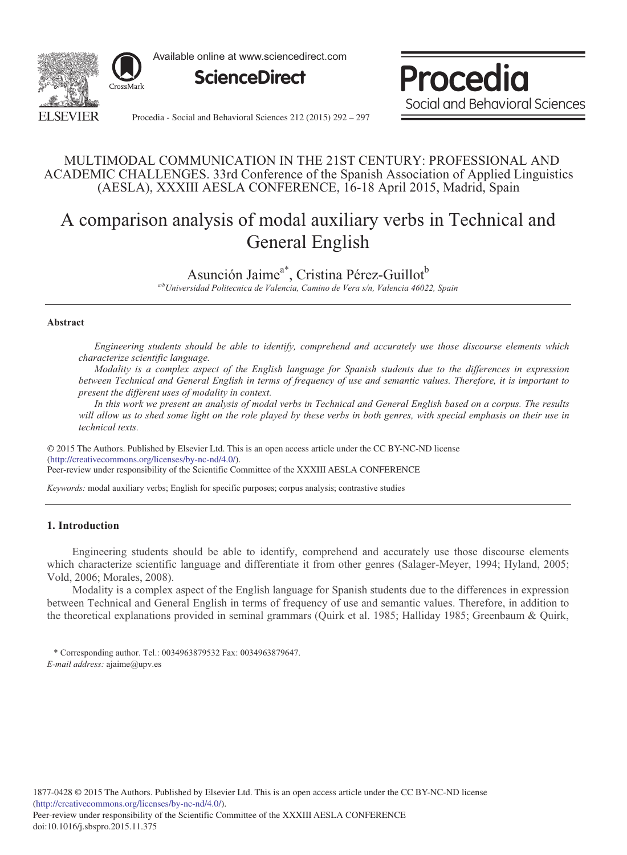

Available online at www.sciencedirect.com





Procedia - Social and Behavioral Sciences 212 (2015) 292 - 297

### MULTIMODAL COMMUNICATION IN THE 21ST CENTURY: PROFESSIONAL AND ACADEMIC CHALLENGES. 33rd Conference of the Spanish Association of Applied Linguistics (AESLA), XXXIII AESLA CONFERENCE, 16-18 April 2015, Madrid, Spain

# A comparison analysis of modal auxiliary verbs in Technical and General English

## Asunción Jaime<sup>a\*</sup>, Cristina Pérez-Guillot<sup>b</sup>

*a/bUniversidad Politecnica de Valencia, Camino de Vera s/n, Valencia 46022, Spain*

#### **Abstract**

*Engineering students should be able to identify, comprehend and accurately use those discourse elements which characterize scientific language.*

*Modality is a complex aspect of the English language for Spanish students due to the differences in expression between Technical and General English in terms of frequency of use and semantic values. Therefore, it is important to present the different uses of modality in context.*

*In this work we present an analysis of modal verbs in Technical and General English based on a corpus. The results will allow us to shed some light on the role played by these verbs in both genres, with special emphasis on their use in technical texts.*

© 2015 The Authors. Published by Elsevier Ltd. © 2015 The Authors. Published by Elsevier Ltd. This is an open access article under the CC BY-NC-ND license Peer-review under responsibility of the Scientific Committee of the XXXIII AESLA CONFERENCE. Peer-review under responsibility of the Scientific Committee of the XXXIII AESLA CONFERENCE(http://creativecommons.org/licenses/by-nc-nd/4.0/).

*Keywords:* modal auxiliary verbs; English for specific purposes; corpus analysis; contrastive studies

#### **1. Introduction**

Engineering students should be able to identify, comprehend and accurately use those discourse elements which characterize scientific language and differentiate it from other genres (Salager-Meyer, 1994; Hyland, 2005; Vold, 2006; Morales, 2008).

Modality is a complex aspect of the English language for Spanish students due to the differences in expression between Technical and General English in terms of frequency of use and semantic values. Therefore, in addition to the theoretical explanations provided in seminal grammars (Quirk et al. 1985; Halliday 1985; Greenbaum & Quirk,

\* Corresponding author. Tel.: 0034963879532 Fax: 0034963879647. *E-mail address:* ajaime@upv.es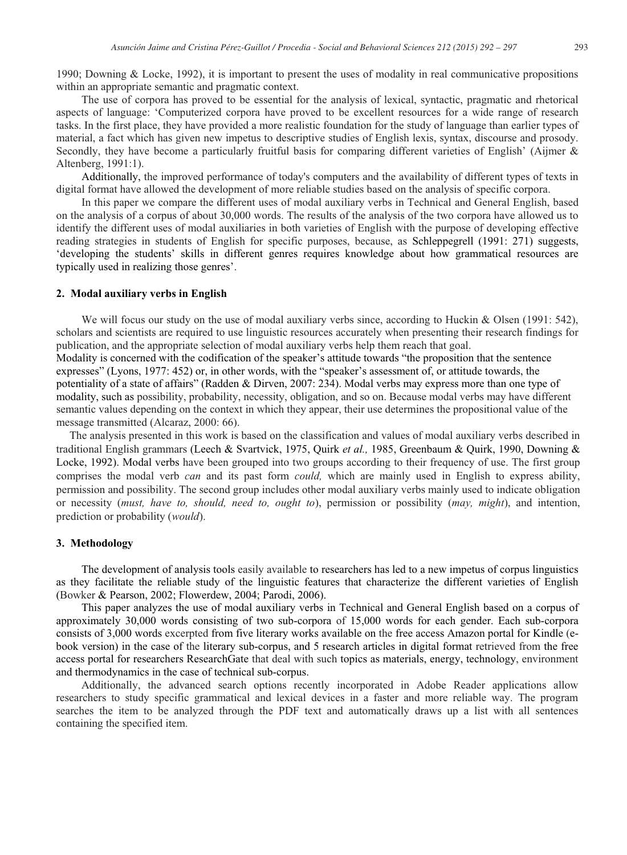1990; Downing & Locke, 1992), it is important to present the uses of modality in real communicative propositions within an appropriate semantic and pragmatic context.

The use of corpora has proved to be essential for the analysis of lexical, syntactic, pragmatic and rhetorical aspects of language: 'Computerized corpora have proved to be excellent resources for a wide range of research tasks. In the first place, they have provided a more realistic foundation for the study of language than earlier types of material, a fact which has given new impetus to descriptive studies of English lexis, syntax, discourse and prosody. Secondly, they have become a particularly fruitful basis for comparing different varieties of English' (Aijmer & Altenberg, 1991:1).

Additionally, the improved performance of today's computers and the availability of different types of texts in digital format have allowed the development of more reliable studies based on the analysis of specific corpora.

In this paper we compare the different uses of modal auxiliary verbs in Technical and General English, based on the analysis of a corpus of about 30,000 words. The results of the analysis of the two corpora have allowed us to identify the different uses of modal auxiliaries in both varieties of English with the purpose of developing effective reading strategies in students of English for specific purposes, because, as Schleppegrell (1991: 271) suggests, 'developing the students' skills in different genres requires knowledge about how grammatical resources are typically used in realizing those genres'.

#### **2. Modal auxiliary verbs in English**

We will focus our study on the use of modal auxiliary verbs since, according to Huckin & Olsen (1991: 542), scholars and scientists are required to use linguistic resources accurately when presenting their research findings for publication, and the appropriate selection of modal auxiliary verbs help them reach that goal. Modality is concerned with the codification of the speaker's attitude towards "the proposition that the sentence expresses" (Lyons, 1977: 452) or, in other words, with the "speaker's assessment of, or attitude towards, the potentiality of a state of affairs" (Radden & Dirven, 2007: 234). Modal verbs may express more than one type of modality, such as possibility, probability, necessity, obligation, and so on. Because modal verbs may have different semantic values depending on the context in which they appear, their use determines the propositional value of the message transmitted (Alcaraz, 2000: 66).

The analysis presented in this work is based on the classification and values of modal auxiliary verbs described in traditional English grammars (Leech & Svartvick, 1975, Quirk *et al.,* 1985, Greenbaum & Quirk, 1990, Downing & Locke, 1992). Modal verbs have been grouped into two groups according to their frequency of use. The first group comprises the modal verb *can* and its past form *could,* which are mainly used in English to express ability, permission and possibility. The second group includes other modal auxiliary verbs mainly used to indicate obligation or necessity (*must, have to, should, need to, ought to*), permission or possibility (*may, might*), and intention, prediction or probability (*would*).

#### **3. Methodology**

The development of analysis tools easily available to researchers has led to a new impetus of corpus linguistics as they facilitate the reliable study of the linguistic features that characterize the different varieties of English (Bowker & Pearson, 2002; Flowerdew, 2004; Parodi, 2006).

This paper analyzes the use of modal auxiliary verbs in Technical and General English based on a corpus of approximately 30,000 words consisting of two sub-corpora of 15,000 words for each gender. Each sub-corpora consists of 3,000 words excerpted from five literary works available on the free access Amazon portal for Kindle (ebook version) in the case of the literary sub-corpus, and 5 research articles in digital format retrieved from the free access portal for researchers ResearchGate that deal with such topics as materials, energy, technology, environment and thermodynamics in the case of technical sub-corpus.

Additionally, the advanced search options recently incorporated in Adobe Reader applications allow researchers to study specific grammatical and lexical devices in a faster and more reliable way. The program searches the item to be analyzed through the PDF text and automatically draws up a list with all sentences containing the specified item.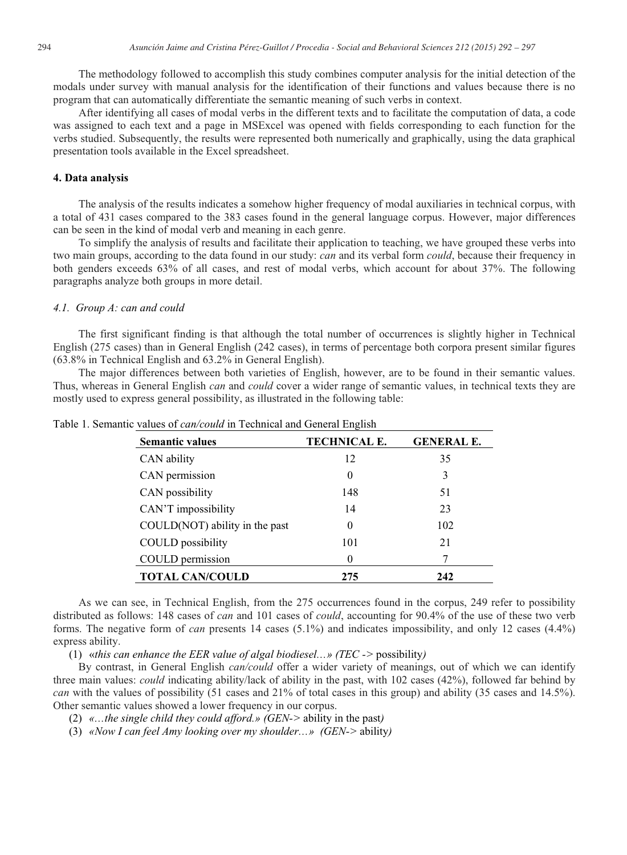The methodology followed to accomplish this study combines computer analysis for the initial detection of the modals under survey with manual analysis for the identification of their functions and values because there is no program that can automatically differentiate the semantic meaning of such verbs in context.

After identifying all cases of modal verbs in the different texts and to facilitate the computation of data, a code was assigned to each text and a page in MSExcel was opened with fields corresponding to each function for the verbs studied. Subsequently, the results were represented both numerically and graphically, using the data graphical presentation tools available in the Excel spreadsheet.

#### **4. Data analysis**

The analysis of the results indicates a somehow higher frequency of modal auxiliaries in technical corpus, with a total of 431 cases compared to the 383 cases found in the general language corpus. However, major differences can be seen in the kind of modal verb and meaning in each genre.

To simplify the analysis of results and facilitate their application to teaching, we have grouped these verbs into two main groups, according to the data found in our study: *can* and its verbal form *could*, because their frequency in both genders exceeds 63% of all cases, and rest of modal verbs, which account for about 37%. The following paragraphs analyze both groups in more detail.

#### *4.1. Group A: can and could*

The first significant finding is that although the total number of occurrences is slightly higher in Technical English (275 cases) than in General English (242 cases), in terms of percentage both corpora present similar figures (63.8% in Technical English and 63.2% in General English).

The major differences between both varieties of English, however, are to be found in their semantic values. Thus, whereas in General English *can* and *could* cover a wider range of semantic values, in technical texts they are mostly used to express general possibility, as illustrated in the following table:

| <b>Semantic values</b>         | TECHNICAL E. | <b>GENERAL E.</b> |
|--------------------------------|--------------|-------------------|
| CAN ability                    | 12           | 35                |
| CAN permission                 | $\theta$     | 3                 |
| CAN possibility                | 148          | 51                |
| CAN'T impossibility            | 14           | 23                |
| COULD(NOT) ability in the past | $\theta$     | 102               |
| <b>COULD</b> possibility       | 101          | 21                |
| COULD permission               | $\theta$     |                   |
| <b>TOTAL CAN/COULD</b>         | 275          | 242               |

Table 1. Semantic values of *can/could* in Technical and General English

As we can see, in Technical English, from the 275 occurrences found in the corpus, 249 refer to possibility distributed as follows: 148 cases of *can* and 101 cases of *could*, accounting for 90.4% of the use of these two verb forms. The negative form of *can* presents 14 cases (5.1%) and indicates impossibility, and only 12 cases (4.4%) express ability.

(1) «*this can enhance the EER value of algal biodiesel…» (TEC ->* possibility*)*

By contrast, in General English *can/could* offer a wider variety of meanings, out of which we can identify three main values: *could* indicating ability/lack of ability in the past, with 102 cases (42%), followed far behind by *can* with the values of possibility (51 cases and 21% of total cases in this group) and ability (35 cases and 14.5%). Other semantic values showed a lower frequency in our corpus.

(2) *«…the single child they could afford.» (GEN->* ability in the past*)*

(3) *«Now I can feel Amy looking over my shoulder…» (GEN->* ability*)*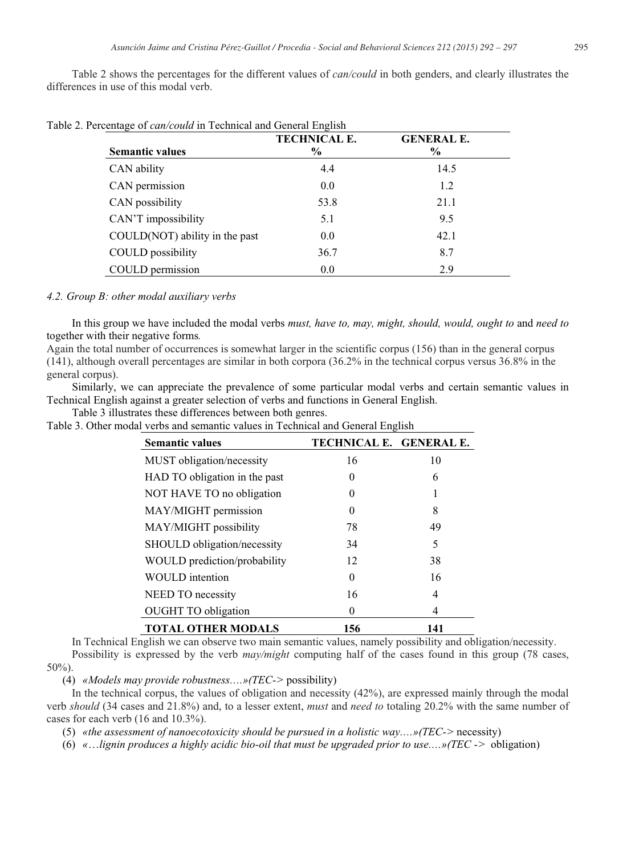Table 2 shows the percentages for the different values of *can/could* in both genders, and clearly illustrates the differences in use of this modal verb.

| Table 2. Percentage of <i>can/could</i> in Technical and General English |                     |                   |  |  |
|--------------------------------------------------------------------------|---------------------|-------------------|--|--|
|                                                                          | <b>TECHNICAL E.</b> | <b>GENERAL E.</b> |  |  |
| <b>Semantic values</b>                                                   | $\%$                | $\%$              |  |  |
| CAN ability                                                              | 4.4                 | 14.5              |  |  |
| CAN permission                                                           | 0.0                 | 1.2               |  |  |
| CAN possibility                                                          | 53.8                | 21.1              |  |  |
| CAN'T impossibility                                                      | 5.1                 | 9.5               |  |  |
| COULD(NOT) ability in the past                                           | 0.0                 | 42.1              |  |  |
| <b>COULD</b> possibility                                                 | 36.7                | 8.7               |  |  |
| COULD permission                                                         | 0.0                 | 2.9               |  |  |

*4.2. Group B: other modal auxiliary verbs*

In this group we have included the modal verbs *must, have to, may, might, should, would, ought to and need to* together with their negative forms*.*

Again the total number of occurrences is somewhat larger in the scientific corpus (156) than in the general corpus (141), although overall percentages are similar in both corpora (36.2% in the technical corpus versus 36.8% in the general corpus).

Similarly, we can appreciate the prevalence of some particular modal verbs and certain semantic values in Technical English against a greater selection of verbs and functions in General English.

Table 3 illustrates these differences between both genres.

Table 3. Other modal verbs and semantic values in Technical and General English

| <b>Semantic values</b>        | TECHNICAL E. GENERAL E. |     |
|-------------------------------|-------------------------|-----|
| MUST obligation/necessity     | 16                      | 10  |
| HAD TO obligation in the past | 0                       | 6   |
| NOT HAVE TO no obligation     | 0                       |     |
| MAY/MIGHT permission          | 0                       | 8   |
| MAY/MIGHT possibility         | 78                      | 49  |
| SHOULD obligation/necessity   | 34                      | 5   |
| WOULD prediction/probability  | 12                      | 38  |
| <b>WOULD</b> intention        | 0                       | 16  |
| NEED TO necessity             | 16                      | 4   |
| <b>OUGHT TO obligation</b>    | 0                       | 4   |
| <b>TOTAL OTHER MODALS</b>     | 156                     | 141 |

In Technical English we can observe two main semantic values, namely possibility and obligation/necessity.

Possibility is expressed by the verb *may/might* computing half of the cases found in this group (78 cases,  $50\%)$ .

(4) *«Models may provide robustness….»(TEC->* possibility)

In the technical corpus, the values of obligation and necessity (42%), are expressed mainly through the modal verb *should* (34 cases and 21.8%) and, to a lesser extent, *must* and *need to* totaling 20.2% with the same number of cases for each verb (16 and 10.3%).

(5) *«the assessment of nanoecotoxicity should be pursued in a holistic way….»(TEC->* necessity)

(6) *«*…*lignin produces a highly acidic bio-oil that must be upgraded prior to use….»(TEC ->* obligation)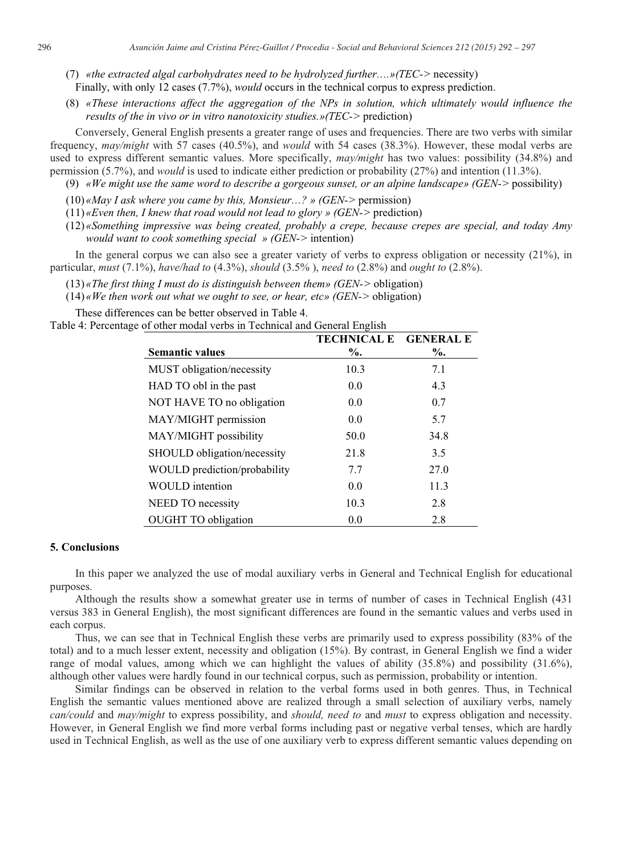- (7) *«the extracted algal carbohydrates need to be hydrolyzed further….»(TEC->* necessity) Finally, with only 12 cases (7.7%), *would* occurs in the technical corpus to express prediction.
- (8) *«These interactions affect the aggregation of the NPs in solution, which ultimately would influence the results of the in vivo or in vitro nanotoxicity studies.»(TEC->* prediction)

Conversely, General English presents a greater range of uses and frequencies. There are two verbs with similar frequency, *may/might* with 57 cases (40.5%), and *would* with 54 cases (38.3%). However, these modal verbs are used to express different semantic values. More specifically, *may/might* has two values: possibility (34.8%) and permission (5.7%), and *would* is used to indicate either prediction or probability (27%) and intention (11.3%).

- (9) *«We might use the same word to describe a gorgeous sunset, or an alpine landscape» (GEN->* possibility)
- (10) *«May I ask where you came by this, Monsieur…? » (GEN->* permission)
- (11) *«Even then, I knew that road would not lead to glory » (GEN->* prediction)
- (12) *«Something impressive was being created, probably a crepe, because crepes are special, and today Amy would want to cook something special » (GEN->* intention)

In the general corpus we can also see a greater variety of verbs to express obligation or necessity (21%), in particular, *must* (7.1%), *have/had to* (4.3%), *should* (3.5% ), *need to* (2.8%) and *ought to* (2.8%).

- (13) *«The first thing I must do is distinguish between them» (GEN->* obligation)
- (14) *«We then work out what we ought to see, or hear, etc» (GEN->* obligation)

These differences can be better observed in Table 4.

Table 4: Percentage of other modal verbs in Technical and General English

|                              | <b>TECHNICAL E</b> | <b>GENERAL E</b> |
|------------------------------|--------------------|------------------|
| <b>Semantic values</b>       | $\%$ .             | $\%$ .           |
| MUST obligation/necessity    | 10.3               | 7.1              |
| HAD TO obl in the past       | 0.0                | 4.3              |
| NOT HAVE TO no obligation    | 0.0                | 0.7              |
| MAY/MIGHT permission         | 0.0                | 5.7              |
| MAY/MIGHT possibility        | 50.0               | 34.8             |
| SHOULD obligation/necessity  | 21.8               | 3.5              |
| WOULD prediction/probability | 7.7                | 27.0             |
| <b>WOULD</b> intention       | 0.0                | 11.3             |
| NEED TO necessity            | 10.3               | 2.8              |
| <b>OUGHT TO obligation</b>   | 0.0                | 2.8              |

#### **5. Conclusions**

In this paper we analyzed the use of modal auxiliary verbs in General and Technical English for educational purposes.

Although the results show a somewhat greater use in terms of number of cases in Technical English (431 versus 383 in General English), the most significant differences are found in the semantic values and verbs used in each corpus.

Thus, we can see that in Technical English these verbs are primarily used to express possibility (83% of the total) and to a much lesser extent, necessity and obligation (15%). By contrast, in General English we find a wider range of modal values, among which we can highlight the values of ability (35.8%) and possibility (31.6%), although other values were hardly found in our technical corpus, such as permission, probability or intention.

Similar findings can be observed in relation to the verbal forms used in both genres. Thus, in Technical English the semantic values mentioned above are realized through a small selection of auxiliary verbs, namely *can/could* and *may/might* to express possibility, and *should, need to* and *must* to express obligation and necessity. However, in General English we find more verbal forms including past or negative verbal tenses, which are hardly used in Technical English, as well as the use of one auxiliary verb to express different semantic values depending on